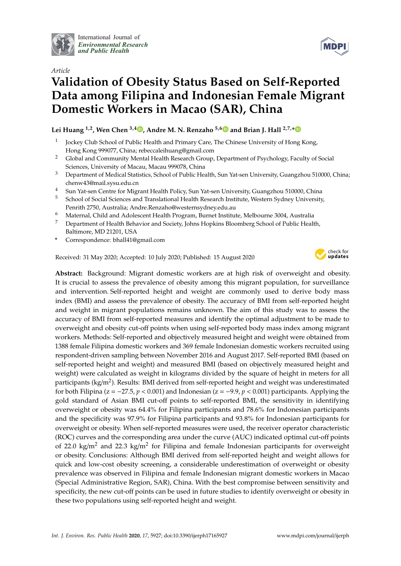

International Journal of *[Environmental Research](http://www.mdpi.com/journal/ijerph) and Public Health*



# *Article* **Validation of Obesity Status Based on Self-Reported Data among Filipina and Indonesian Female Migrant Domestic Workers in Macao (SAR), China**

### **Lei Huang 1,2, Wen Chen 3,[4](https://orcid.org/0000-0002-6839-8890) , Andre M. N. Renzaho 5,[6](https://orcid.org/0000-0002-6844-0833) and Brian J. Hall 2,7,[\\*](https://orcid.org/0000-0001-9358-2377)**

- 1 Jockey Club School of Public Health and Primary Care, The Chinese University of Hong Kong, Hong Kong 999077, China; rebeccaleihuang@gmail.com
- <sup>2</sup> Global and Community Mental Health Research Group, Department of Psychology, Faculty of Social Sciences, University of Macau, Macau 999078, China
- <sup>3</sup> Department of Medical Statistics, School of Public Health, Sun Yat-sen University, Guangzhou 510000, China; chenw43@mail.sysu.edu.cn
- <sup>4</sup> Sun Yat-sen Centre for Migrant Health Policy, Sun Yat-sen University, Guangzhou 510000, China
- <sup>5</sup> School of Social Sciences and Translational Health Research Institute, Western Sydney University, Penrith 2750, Australia; Andre.Renzaho@westernsydney.edu.au
- <sup>6</sup> Maternal, Child and Adolescent Health Program, Burnet Institute, Melbourne 3004, Australia
- <sup>7</sup> Department of Health Behavior and Society, Johns Hopkins Bloomberg School of Public Health, Baltimore, MD 21201, USA
- **\*** Correspondence: bhall41@gmail.com

Received: 31 May 2020; Accepted: 10 July 2020; Published: 15 August 2020



**Abstract:** Background: Migrant domestic workers are at high risk of overweight and obesity. It is crucial to assess the prevalence of obesity among this migrant population, for surveillance and intervention. Self-reported height and weight are commonly used to derive body mass index (BMI) and assess the prevalence of obesity. The accuracy of BMI from self-reported height and weight in migrant populations remains unknown. The aim of this study was to assess the accuracy of BMI from self-reported measures and identify the optimal adjustment to be made to overweight and obesity cut-off points when using self-reported body mass index among migrant workers. Methods: Self-reported and objectively measured height and weight were obtained from 1388 female Filipina domestic workers and 369 female Indonesian domestic workers recruited using respondent-driven sampling between November 2016 and August 2017. Self-reported BMI (based on self-reported height and weight) and measured BMI (based on objectively measured height and weight) were calculated as weight in kilograms divided by the square of height in meters for all participants (kg/m<sup>2</sup>). Results: BMI derived from self-reported height and weight was underestimated for both Filipina ( $z = -27.5$ ,  $p < 0.001$ ) and Indonesian ( $z = -9.9$ ,  $p < 0.001$ ) participants. Applying the gold standard of Asian BMI cut-off points to self-reported BMI, the sensitivity in identifying overweight or obesity was 64.4% for Filipina participants and 78.6% for Indonesian participants and the specificity was 97.9% for Filipina participants and 93.8% for Indonesian participants for overweight or obesity. When self-reported measures were used, the receiver operator characteristic (ROC) curves and the corresponding area under the curve (AUC) indicated optimal cut-off points of 22.0 kg/m<sup>2</sup> and 22.3 kg/m<sup>2</sup> for Filipina and female Indonesian participants for overweight or obesity. Conclusions: Although BMI derived from self-reported height and weight allows for quick and low-cost obesity screening, a considerable underestimation of overweight or obesity prevalence was observed in Filipina and female Indonesian migrant domestic workers in Macao (Special Administrative Region, SAR), China. With the best compromise between sensitivity and specificity, the new cut-off points can be used in future studies to identify overweight or obesity in these two populations using self-reported height and weight.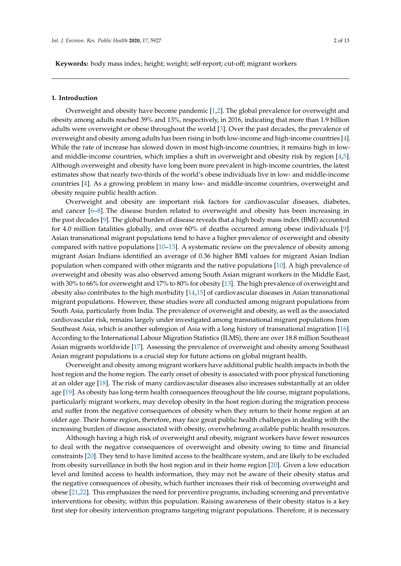**Keywords:** body mass index; height; weight; self-report; cut-off; migrant workers

#### **1. Introduction**

Overweight and obesity have become pandemic [\[1](#page-10-0)[,2\]](#page-10-1). The global prevalence for overweight and obesity among adults reached 39% and 13%, respectively, in 2016, indicating that more than 1.9 billion adults were overweight or obese throughout the world [\[3\]](#page-10-2). Over the past decades, the prevalence of overweight and obesity among adults has been rising in both low-income and high-income countries [\[4\]](#page-10-3). While the rate of increase has slowed down in most high-income countries, it remains high in lowand middle-income countries, which implies a shift in overweight and obesity risk by region [\[4,](#page-10-3)[5\]](#page-10-4). Although overweight and obesity have long been more prevalent in high-income countries, the latest estimates show that nearly two-thirds of the world's obese individuals live in low- and middle-income countries [\[4\]](#page-10-3). As a growing problem in many low- and middle-income countries, overweight and obesity require public health action.

Overweight and obesity are important risk factors for cardiovascular diseases, diabetes, and cancer  $[6-8]$  $[6-8]$ . The disease burden related to overweight and obesity has been increasing in the past decades [\[9\]](#page-10-7). The global burden of disease reveals that a high body mass index (BMI) accounted for 4.0 million fatalities globally, and over 60% of deaths occurred among obese individuals [\[9\]](#page-10-7). Asian transnational migrant populations tend to have a higher prevalence of overweight and obesity compared with native populations [\[10](#page-10-8)[–13\]](#page-10-9). A systematic review on the prevalence of obesity among migrant Asian Indians identified an average of 0.36 higher BMI values for migrant Asian Indian population when compared with other migrants and the native populations [\[10\]](#page-10-8). A high prevalence of overweight and obesity was also observed among South Asian migrant workers in the Middle East, with 30% to 66% for overweight and 17% to 80% for obesity [\[13\]](#page-10-9). The high prevalence of overweight and obesity also contributes to the high morbidity [\[14,](#page-10-10)[15\]](#page-10-11) of cardiovascular diseases in Asian transnational migrant populations. However, these studies were all conducted among migrant populations from South Asia, particularly from India. The prevalence of overweight and obesity, as well as the associated cardiovascular risk, remains largely under investigated among transnational migrant populations from Southeast Asia, which is another subregion of Asia with a long history of transnational migration [\[16\]](#page-10-12). According to the International Labour Migration Statistics (ILMS), there are over 18.8 million Southeast Asian migrants worldwide [\[17\]](#page-10-13). Assessing the prevalence of overweight and obesity among Southeast Asian migrant populations is a crucial step for future actions on global migrant health.

Overweight and obesity among migrant workers have additional public health impacts in both the host region and the home region. The early onset of obesity is associated with poor physical functioning at an older age [\[18\]](#page-10-14). The risk of many cardiovascular diseases also increases substantially at an older age [\[19\]](#page-10-15). As obesity has long-term health consequences throughout the life course, migrant populations, particularly migrant workers, may develop obesity in the host region during the migration process and suffer from the negative consequences of obesity when they return to their home region at an older age. Their home region, therefore, may face great public health challenges in dealing with the increasing burden of disease associated with obesity, overwhelming available public health resources.

Although having a high risk of overweight and obesity, migrant workers have fewer resources to deal with the negative consequences of overweight and obesity owing to time and financial constraints [\[20\]](#page-10-16). They tend to have limited access to the healthcare system, and are likely to be excluded from obesity surveillance in both the host region and in their home region [\[20\]](#page-10-16). Given a low education level and limited access to health information, they may not be aware of their obesity status and the negative consequences of obesity, which further increases their risk of becoming overweight and obese [\[21,](#page-10-17)[22\]](#page-10-18). This emphasizes the need for preventive programs, including screening and preventative interventions for obesity, within this population. Raising awareness of their obesity status is a key first step for obesity intervention programs targeting migrant populations. Therefore, it is necessary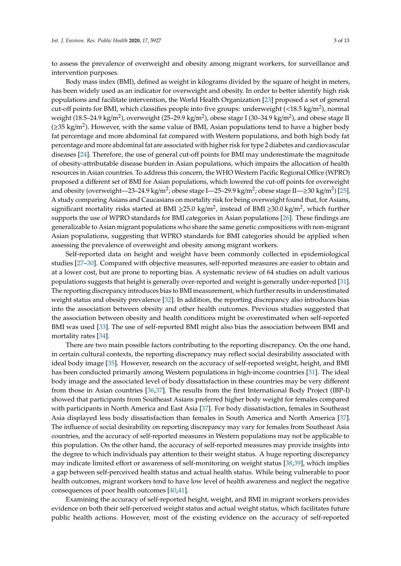to assess the prevalence of overweight and obesity among migrant workers, for surveillance and intervention purposes.

Body mass index (BMI), defined as weight in kilograms divided by the square of height in meters, has been widely used as an indicator for overweight and obesity. In order to better identify high risk populations and facilitate intervention, the World Health Organization [\[23\]](#page-11-0) proposed a set of general cut-off points for BMI, which classifies people into five groups: underweight (<18.5 kg/m<sup>2</sup>), normal weight (18.5–24.9 kg/m<sup>2</sup>), overweight (25–29.9 kg/m<sup>2</sup>), obese stage I (30–34.9 kg/m<sup>2</sup>), and obese stage II ( $\geq$ 35 kg/m<sup>2</sup>). However, with the same value of BMI, Asian populations tend to have a higher body fat percentage and more abdominal fat compared with Western populations, and both high body fat percentage and more abdominal fat are associated with higher risk for type 2 diabetes and cardiovascular diseases [\[24\]](#page-11-1). Therefore, the use of general cut-off points for BMI may underestimate the magnitude of obesity-attributable disease burden in Asian populations, which impairs the allocation of health resources in Asian countries. To address this concern, the WHO Western Pacific Regional Office (WPRO) proposed a different set of BMI for Asian populations, which lowered the cut-off points for overweight and obesity (overweight—23–24.9 kg/m<sup>2</sup>; obese stage I—25–29.9 kg/m<sup>2</sup>; obese stage II—≥30 kg/m<sup>2</sup>) [\[25\]](#page-11-2). A study comparing Asians and Caucasians on mortality risk for being overweight found that, for Asians, significant mortality risks started at BMI ≥25.0 kg/m<sup>2</sup>, instead of BMI ≥30.0 kg/m<sup>2</sup>, which further supports the use of WPRO standards for BMI categories in Asian populations [\[26\]](#page-11-3). These findings are generalizable to Asian migrant populations who share the same genetic compositions with non-migrant Asian populations, suggesting that WPRO standards for BMI categories should be applied when assessing the prevalence of overweight and obesity among migrant workers.

Self-reported data on height and weight have been commonly collected in epidemiological studies [\[27](#page-11-4)[–30\]](#page-11-5). Compared with objective measures, self-reported measures are easier to obtain and at a lower cost, but are prone to reporting bias. A systematic review of 64 studies on adult various populations suggests that height is generally over-reported and weight is generally under-reported [\[31\]](#page-11-6). The reporting discrepancy introduces bias to BMI measurement, which further results in underestimated weight status and obesity prevalence [\[32\]](#page-11-7). In addition, the reporting discrepancy also introduces bias into the association between obesity and other health outcomes. Previous studies suggested that the association between obesity and health conditions might be overestimated when self-reported BMI was used [\[33\]](#page-11-8). The use of self-reported BMI might also bias the association between BMI and mortality rates [\[34\]](#page-11-9).

There are two main possible factors contributing to the reporting discrepancy. On the one hand, in certain cultural contexts, the reporting discrepancy may reflect social desirability associated with ideal body image [\[35\]](#page-11-10). However, research on the accuracy of self-reported weight, height, and BMI has been conducted primarily among Western populations in high-income countries [\[31\]](#page-11-6). The ideal body image and the associated level of body dissatisfaction in these countries may be very different from those in Asian countries [\[36](#page-11-11)[,37\]](#page-11-12). The results from the first International Body Project (IBP-I) showed that participants from Southeast Asians preferred higher body weight for females compared with participants in North America and East Asia [\[37\]](#page-11-12). For body dissatisfaction, females in Southeast Asia displayed less body dissatisfaction than females in South America and North America [\[37\]](#page-11-12). The influence of social desirability on reporting discrepancy may vary for females from Southeast Asia countries, and the accuracy of self-reported measures in Western populations may not be applicable to this population. On the other hand, the accuracy of self-reported measures may provide insights into the degree to which individuals pay attention to their weight status. A huge reporting discrepancy may indicate limited effort or awareness of self-monitoring on weight status [\[38,](#page-11-13)[39\]](#page-11-14), which implies a gap between self-perceived health status and actual health status. While being vulnerable to poor health outcomes, migrant workers tend to have low level of health awareness and neglect the negative consequences of poor health outcomes [\[40](#page-11-15)[,41\]](#page-11-16).

Examining the accuracy of self-reported height, weight, and BMI in migrant workers provides evidence on both their self-perceived weight status and actual weight status, which facilitates future public health actions. However, most of the existing evidence on the accuracy of self-reported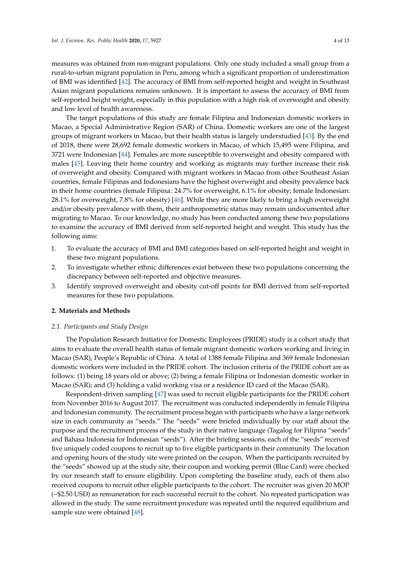measures was obtained from non-migrant populations. Only one study included a small group from a rural-to-urban migrant population in Peru, among which a significant proportion of underestimation of BMI was identified [\[42\]](#page-11-17). The accuracy of BMI from self-reported height and weight in Southeast Asian migrant populations remains unknown. It is important to assess the accuracy of BMI from self-reported height weight, especially in this population with a high risk of overweight and obesity and low level of health awareness.

The target populations of this study are female Filipina and Indonesian domestic workers in Macao, a Special Administrative Region (SAR) of China. Domestic workers are one of the largest groups of migrant workers in Macao, but their health status is largely understudied [\[43\]](#page-11-18). By the end of 2018, there were 28,692 female domestic workers in Macao, of which 15,495 were Filipina, and 3721 were Indonesian [\[44\]](#page-12-0). Females are more susceptible to overweight and obesity compared with males [\[45\]](#page-12-1). Leaving their home country and working as migrants may further increase their risk of overweight and obesity. Compared with migrant workers in Macao from other Southeast Asian countries, female Filipinas and Indonesians have the highest overweight and obesity prevalence back in their home countries (female Filipina: 24.7% for overweight, 6.1% for obesity; female Indonesian: 28.1% for overweight, 7.8% for obesity) [\[46\]](#page-12-2). While they are more likely to bring a high overweight and/or obesity prevalence with them, their anthropometric status may remain undocumented after migrating to Macao. To our knowledge, no study has been conducted among these two populations to examine the accuracy of BMI derived from self-reported height and weight. This study has the following aims:

- 1. To evaluate the accuracy of BMI and BMI categories based on self-reported height and weight in these two migrant populations.
- 2. To investigate whether ethnic differences exist between these two populations concerning the discrepancy between self-reported and objective measures.
- 3. Identify improved overweight and obesity cut-off points for BMI derived from self-reported measures for these two populations.

#### **2. Materials and Methods**

#### *2.1. Participants and Study Design*

The Population Research Initiative for Domestic Employees (PRIDE) study is a cohort study that aims to evaluate the overall health status of female migrant domestic workers working and living in Macao (SAR), People's Republic of China. A total of 1388 female Filipina and 369 female Indonesian domestic workers were included in the PRIDE cohort. The inclusion criteria of the PRIDE cohort are as follows: (1) being 18 years old or above; (2) being a female Filipina or Indonesian domestic worker in Macao (SAR); and (3) holding a valid working visa or a residence ID card of the Macao (SAR).

Respondent-driven sampling [\[47\]](#page-12-3) was used to recruit eligible participants for the PRIDE cohort from November 2016 to August 2017. The recruitment was conducted independently in female Filipina and Indonesian community. The recruitment process began with participants who have a large network size in each community as "seeds." The "seeds" were briefed individually by our staff about the purpose and the recruitment process of the study in their native language (Tagalog for Filipina "seeds" and Bahasa Indonesia for Indonesian "seeds"). After the briefing sessions, each of the "seeds" received five uniquely coded coupons to recruit up to five eligible participants in their community. The location and opening hours of the study site were printed on the coupon. When the participants recruited by the "seeds" showed up at the study site, their coupon and working permit (Blue Card) were checked by our research staff to ensure eligibility. Upon completing the baseline study, each of them also received coupons to recruit other eligible participants to the cohort. The recruiter was given 20 MOP (~\$2.50 USD) as remuneration for each successful recruit to the cohort. No repeated participation was allowed in the study. The same recruitment procedure was repeated until the required equilibrium and sample size were obtained [\[48\]](#page-12-4).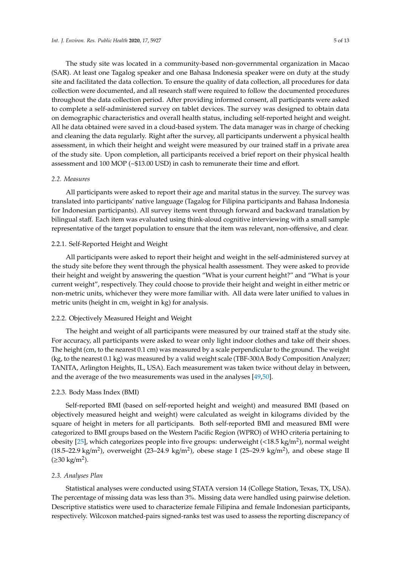The study site was located in a community-based non-governmental organization in Macao (SAR). At least one Tagalog speaker and one Bahasa Indonesia speaker were on duty at the study site and facilitated the data collection. To ensure the quality of data collection, all procedures for data collection were documented, and all research staff were required to follow the documented procedures throughout the data collection period. After providing informed consent, all participants were asked to complete a self-administered survey on tablet devices. The survey was designed to obtain data on demographic characteristics and overall health status, including self-reported height and weight. All he data obtained were saved in a cloud-based system. The data manager was in charge of checking and cleaning the data regularly. Right after the survey, all participants underwent a physical health assessment, in which their height and weight were measured by our trained staff in a private area of the study site. Upon completion, all participants received a brief report on their physical health assessment and 100 MOP (~\$13.00 USD) in cash to remunerate their time and effort.

#### *2.2. Measures*

All participants were asked to report their age and marital status in the survey. The survey was translated into participants' native language (Tagalog for Filipina participants and Bahasa Indonesia for Indonesian participants). All survey items went through forward and backward translation by bilingual staff. Each item was evaluated using think-aloud cognitive interviewing with a small sample representative of the target population to ensure that the item was relevant, non-offensive, and clear.

#### 2.2.1. Self-Reported Height and Weight

All participants were asked to report their height and weight in the self-administered survey at the study site before they went through the physical health assessment. They were asked to provide their height and weight by answering the question "What is your current height?" and "What is your current weight", respectively. They could choose to provide their height and weight in either metric or non-metric units, whichever they were more familiar with. All data were later unified to values in metric units (height in cm, weight in kg) for analysis.

#### 2.2.2. Objectively Measured Height and Weight

The height and weight of all participants were measured by our trained staff at the study site. For accuracy, all participants were asked to wear only light indoor clothes and take off their shoes. The height (cm, to the nearest 0.1 cm) was measured by a scale perpendicular to the ground. The weight (kg, to the nearest 0.1 kg) was measured by a valid weight scale (TBF-300A Body Composition Analyzer; TANITA, Arlington Heights, IL, USA). Each measurement was taken twice without delay in between, and the average of the two measurements was used in the analyses [\[49](#page-12-5)[,50\]](#page-12-6).

#### 2.2.3. Body Mass Index (BMI)

Self-reported BMI (based on self-reported height and weight) and measured BMI (based on objectively measured height and weight) were calculated as weight in kilograms divided by the square of height in meters for all participants. Both self-reported BMI and measured BMI were categorized to BMI groups based on the Western Pacific Region (WPRO) of WHO criteria pertaining to obesity [\[25\]](#page-11-2), which categorizes people into five groups: underweight (<18.5 kg/m<sup>2</sup>), normal weight (18.5–22.9 kg/m<sup>2</sup>), overweight (23–24.9 kg/m<sup>2</sup>), obese stage I (25–29.9 kg/m<sup>2</sup>), and obese stage II  $(≥30 kg/m<sup>2</sup>)$ .

#### *2.3. Analyses Plan*

Statistical analyses were conducted using STATA version 14 (College Station, Texas, TX, USA). The percentage of missing data was less than 3%. Missing data were handled using pairwise deletion. Descriptive statistics were used to characterize female Filipina and female Indonesian participants, respectively. Wilcoxon matched-pairs signed-ranks test was used to assess the reporting discrepancy of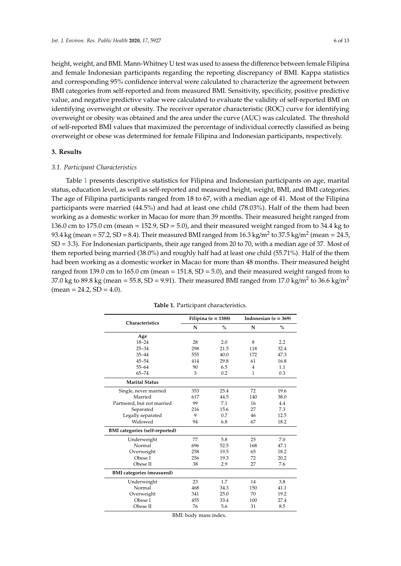height, weight, and BMI. Mann-Whitney U test was used to assess the difference between female Filipina and female Indonesian participants regarding the reporting discrepancy of BMI. Kappa statistics and corresponding 95% confidence interval were calculated to characterize the agreement between BMI categories from self-reported and from measured BMI. Sensitivity, specificity, positive predictive value, and negative predictive value were calculated to evaluate the validity of self-reported BMI on identifying overweight or obesity. The receiver operator characteristic (ROC) curve for identifying overweight or obesity was obtained and the area under the curve (AUC) was calculated. The threshold of self-reported BMI values that maximized the percentage of individual correctly classified as being overweight or obese was determined for female Filipina and Indonesian participants, respectively.

#### **3. Results**

#### *3.1. Participant Characteristics*

Table [1](#page-5-0) presents descriptive statistics for Filipina and Indonesian participants on age, marital status, education level, as well as self-reported and measured height, weight, BMI, and BMI categories. The age of Filipina participants ranged from 18 to 67, with a median age of 41. Most of the Filipina participants were married (44.5%) and had at least one child (78.03%). Half of the them had been working as a domestic worker in Macao for more than 39 months. Their measured height ranged from 136.0 cm to 175.0 cm (mean = 152.9, SD = 5.0), and their measured weight ranged from to 34.4 kg to 93.4 kg (mean = 57.2, SD = 8.4). Their measured BMI ranged from 16.3 kg/m<sup>2</sup> to 37.5 kg/m<sup>2</sup> (mean = 24.5, SD = 3.3). For Indonesian participants, their age ranged from 20 to 70, with a median age of 37. Most of them reported being married (38.0%) and roughly half had at least one child (55.71%). Half of the them had been working as a domestic worker in Macao for more than 48 months. Their measured height ranged from 139.0 cm to 165.0 cm (mean =  $151.8$ , SD =  $5.0$ ), and their measured weight ranged from to 37.0 kg to 89.8 kg (mean = 55.8, SD = 9.91). Their measured BMI ranged from 17.0 kg/m<sup>2</sup> to 36.6 kg/m<sup>2</sup>  $mean = 24.2, SD = 4.0$ .

<span id="page-5-0"></span>

|                                       |     | Filipina ( $n = 1388$ ) | Indonesian ( $n = 369$ ) |      |  |
|---------------------------------------|-----|-------------------------|--------------------------|------|--|
| <b>Characteristics</b>                | N   | $\%$                    | N                        | $\%$ |  |
| Age                                   |     |                         |                          |      |  |
| $18 - 24$                             | 28  | 2.0                     | 8                        | 2.2  |  |
| $25 - 34$                             | 298 | 21.5                    | 118                      | 32.4 |  |
| $35 - 44$                             | 555 | 40.0                    | 172                      | 47.3 |  |
| $45 - 54$                             | 414 | 29.8                    | 61                       | 16.8 |  |
| $55 - 64$                             | 90  | 6.5                     | $\overline{4}$           | 1.1  |  |
| $65 - 74$                             | 3   | 0.2                     | 1                        | 0.3  |  |
| <b>Marital Status</b>                 |     |                         |                          |      |  |
| Single, never married                 | 353 | 25.4                    | 72                       | 19.6 |  |
| Married                               | 617 | 44.5                    | 140                      | 38.0 |  |
| Partnered, but not married            | 99  | 7.1                     | 16                       | 4.4  |  |
| Separated                             | 216 | 15.6                    | 27                       | 7.3  |  |
| Legally separated                     | 9   | 0.7                     | 46                       | 12.5 |  |
| Widowed                               | 94  | 6.8                     | 67                       | 18.2 |  |
| <b>BMI</b> categories (self-reported) |     |                         |                          |      |  |
| Underweight                           | 77  | 5.8                     | 25                       | 7.0  |  |
| Normal                                | 696 | 52.5                    | 168                      | 47.1 |  |
| Overweight                            | 258 | 19.5                    | 65                       | 18.2 |  |
| Obese I                               | 256 | 19.3                    | 72                       | 20.2 |  |
| Obese II                              | 38  | 2.9                     | 27                       | 7.6  |  |
| <b>BMI</b> categories (measured)      |     |                         |                          |      |  |
| Underweight                           | 23  | 1.7                     | 14                       | 3.8  |  |
| Normal                                | 468 | 34.3                    | 150                      | 41.1 |  |
| Overweight                            | 341 | 25.0                    | 70                       | 19.2 |  |
| Obese I                               | 455 | 33.4                    | 100                      | 27.4 |  |
| Obese II                              | 76  | 5.6                     | 31                       | 8.5  |  |

**Table 1.** Participant characteristics.

BMI: body mass index.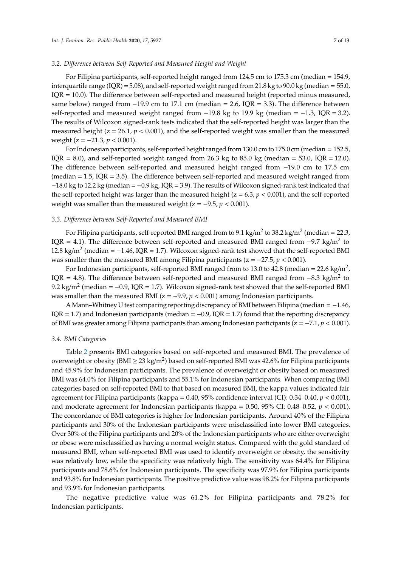#### *3.2. Di*ff*erence between Self-Reported and Measured Height and Weight*

For Filipina participants, self-reported height ranged from 124.5 cm to 175.3 cm (median = 154.9, interquartile range (IQR) = 5.08), and self-reported weight ranged from 21.8 kg to 90.0 kg (median = 55.0, IQR = 10.0). The difference between self-reported and measured height (reported minus measured, same below) ranged from −19.9 cm to 17.1 cm (median = 2.6, IQR = 3.3). The difference between self-reported and measured weight ranged from -19.8 kg to 19.9 kg (median = -1.3, IQR = 3.2). The results of Wilcoxon signed-rank tests indicated that the self-reported height was larger than the measured height ( $z = 26.1$ ,  $p < 0.001$ ), and the self-reported weight was smaller than the measured weight (z = −21.3, *p* < 0.001).

For Indonesian participants, self-reported height ranged from 130.0 cm to 175.0 cm (median = 152.5, IQR = 8.0), and self-reported weight ranged from 26.3 kg to 85.0 kg (median = 53.0, IQR = 12.0). The difference between self-reported and measured height ranged from −19.0 cm to 17.5 cm (median  $= 1.5$ , IQR  $= 3.5$ ). The difference between self-reported and measured weight ranged from −18.0 kg to 12.2 kg (median = −0.9 kg, IQR = 3.9). The results of Wilcoxon signed-rank test indicated that the self-reported height was larger than the measured height ( $z = 6.3$ ,  $p < 0.001$ ), and the self-reported weight was smaller than the measured weight (z = −9.5, *p* < 0.001).

#### *3.3. Di*ff*erence between Self-Reported and Measured BMI*

For Filipina participants, self-reported BMI ranged from to 9.1 kg/m<sup>2</sup> to 38.2 kg/m<sup>2</sup> (median = 22.3, IQR = 4.1). The difference between self-reported and measured BMI ranged from  $-9.7 \text{ kg/m}^2$  to 12.8 kg/m<sup>2</sup> (median =  $-1.46$ , IQR = 1.7). Wilcoxon signed-rank test showed that the self-reported BMI was smaller than the measured BMI among Filipina participants ( $z = -27.5$ ,  $p < 0.001$ ).

For Indonesian participants, self-reported BMI ranged from to 13.0 to 42.8 (median = 22.6 kg/m<sup>2</sup>, IQR = 4.8). The difference between self-reported and measured BMI ranged from  $-8.3$  kg/m<sup>2</sup> to 9.2 kg/m<sup>2</sup> (median =  $-0.9$ , IQR = 1.7). Wilcoxon signed-rank test showed that the self-reported BMI was smaller than the measured BMI ( $z = -9.9$ ,  $p < 0.001$ ) among Indonesian participants.

AMann–Whitney U test comparing reporting discrepancy of BMI between Filipina (median = −1.46, IQR = 1.7) and Indonesian participants (median =  $-0.9$ , IQR = 1.7) found that the reporting discrepancy of BMI was greater among Filipina participants than among Indonesian participants (z = −7.1, *p* < 0.001).

#### *3.4. BMI Categories*

Table [2](#page-7-0) presents BMI categories based on self-reported and measured BMI. The prevalence of overweight or obesity (BMI  $\geq 23$  kg/m<sup>2</sup>) based on self-reported BMI was 42.6% for Filipina participants and 45.9% for Indonesian participants. The prevalence of overweight or obesity based on measured BMI was 64.0% for Filipina participants and 55.1% for Indonesian participants. When comparing BMI categories based on self-reported BMI to that based on measured BMI, the kappa values indicated fair agreement for Filipina participants (kappa = 0.40, 95% confidence interval (CI): 0.34–0.40, *p* < 0.001), and moderate agreement for Indonesian participants (kappa = 0.50, 95% CI: 0.48–0.52, *p* < 0.001). The concordance of BMI categories is higher for Indonesian participants. Around 40% of the Filipina participants and 30% of the Indonesian participants were misclassified into lower BMI categories. Over 30% of the Filipina participants and 20% of the Indonesian participants who are either overweight or obese were misclassified as having a normal weight status. Compared with the gold standard of measured BMI, when self-reported BMI was used to identify overweight or obesity, the sensitivity was relatively low, while the specificity was relatively high. The sensitivity was 64.4% for Filipina participants and 78.6% for Indonesian participants. The specificity was 97.9% for Filipina participants and 93.8% for Indonesian participants. The positive predictive value was 98.2% for Filipina participants and 93.9% for Indonesian participants.

The negative predictive value was 61.2% for Filipina participants and 78.2% for Indonesian participants.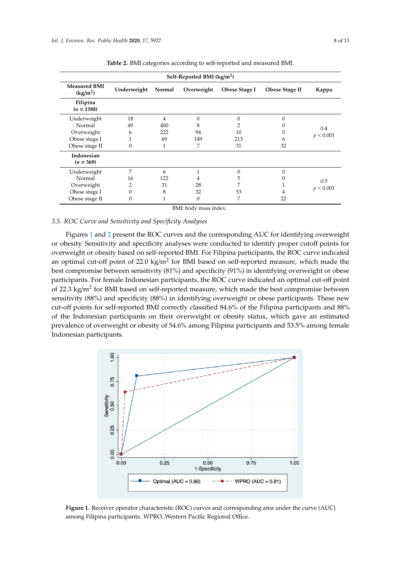| Self-Reported BMI (kg/m <sup>2</sup> )      |                  |        |            |               |                |                  |  |  |  |
|---------------------------------------------|------------------|--------|------------|---------------|----------------|------------------|--|--|--|
| <b>Measured BMI</b><br>(kg/m <sup>2</sup> ) | Underweight      | Normal | Overweight | Obese Stage I | Obese Stage II | Kappa            |  |  |  |
| Filipina<br>$(n = 1388)$                    |                  |        |            |               |                |                  |  |  |  |
| Underweight                                 | 18               | 4      | $\theta$   | $\Omega$      | $\Omega$       | 0.4<br>p < 0.001 |  |  |  |
| Normal                                      | 49               | 400    | 8          |               |                |                  |  |  |  |
| Overweight                                  | 6                | 222    | 94         | 10            | 0              |                  |  |  |  |
| Obese stage I                               |                  | 69     | 149        | 213           | b              |                  |  |  |  |
| Obese stage II                              | $\boldsymbol{0}$ |        | 7          | 31            | 32             |                  |  |  |  |
| Indonesian<br>$(n = 369)$                   |                  |        |            |               |                |                  |  |  |  |
| Underweight                                 | 7                | 6      |            | $\Omega$      | $\Omega$       | 0.5<br>p < 0.001 |  |  |  |
| Normal                                      | 16               | 122    | 4          | C,            |                |                  |  |  |  |
| Overweight                                  | 2                | 31     | 28         |               |                |                  |  |  |  |
| Obese stage I                               | $\mathbf{0}$     | 8      | 32         | 53            | 4              |                  |  |  |  |
| Obese stage II                              | $\mathbf{0}$     |        | $\theta$   | 7             | 22             |                  |  |  |  |

<span id="page-7-0"></span>**Table 2.** BMI categories according to self-reported and measured BMI.

BMI: body mass index.

## 3.5. ROC Curve and Sensitivity and Specificity Analyses were conducted to identify proper conducted to identify p Figures 1 and 2 present the ROC curves and the corresponding AUC for identifying overweight

Figures 1 and 2 present the ROC curves and the corresponding AUC for identifying overweight or obesity. Sensitivity and specificity analyses were conducted to identify proper cutoff points for<br>an optimal cut-off point of 22.0 kg/m2 for 22.0 kg/m2 for BMI based in the best of the best of the best of the overweight or obesity based on self-reported BMI. For Filipina participants, the ROC curve indicated an optimal cut-off point of  $22.0 \text{ kg/m}^2$  for BMI based on self-reported measure, which made the best compromise between sensitivity (81%) and specificity (91%) in identifying overweight or obese participants. For female Indonesian participants, the ROC curve indicated an optimal cut-off point of 22.3 kg/m<sup>2</sup> for BMI based on self-reported measure, which made the best compromise between sensitivity (88%) and specificity (88%) in identifying overweight or obese participants. These new<br>cut-off points for self-reported BMI correctly classified 84.6% of the Filipina participants and 88% cut-off points for self-reported BMI correctly classified 84.6% of the Filipina participants and 88% of the Indonesian participants on their overweight or obesity status, which gave an estimated the Indonesian participants on their overweight or obesity status, which gave an estimated prevalence of overweight or obesity of 54.6% among Filipina participants and 53.5% among female prevalence of overweight or obesity of 54.6% among Filipina participants and 53.5% among female Indonesian participants. Indonesian participants.

<span id="page-7-1"></span>

**Figure 1.** Receiver operator characteristic (ROC) curves and corresponding area under the curve (AUC)<br>among Filipina participants. WPRO, Western Pacific Regional Office. among Filipina participants. WPRO, Western Pacific Regional Office.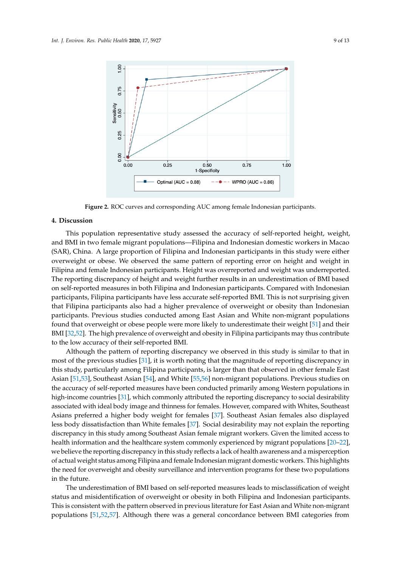<span id="page-8-0"></span>

**Figure 2.** ROC curves and corresponding AUC among female Indonesian participants. **Figure 2.** ROC curves and corresponding AUC among female Indonesian participants.

## **4. Discussion 4. Discussion**

This population representative study assessed the accuracy of self-reported height, weight, and and BMI in two female migrant populations—Filipina and Indonesian domestic workers in Macao (SAR), China. A large proportion of Filipina and Indonesian participants in this study were either overweight or obese. We observed the same pattern of reporting error on height and weight in Filipina and female Indonesian participants. Height was overreported and weight was underreported. The reporting discrepancy of height and weight further results in an underestimation of BMI based on self-reported measures in both Filipina and Indonesian participants. Compared with Indonesian participants, Filipina participants have less accurate self-reported BMI. This is not surprising given that Filipina participants also had a higher prevalence of overweight or obesity than Indonesian participants. Previous studies conducted among East Asian and White non-migrant populations found that overweight or obese people were more likely to underestimate their weight [51] and their BMI [32,52]. The high prevalence of overweight and obesity in Filipina participants may thus contribute to the low accuracy of their self-reported BMI. This population representative study assessed the accuracy of self-reported height, weight,

Although the pattern of reporting discrepancy we observed in this study is similar to that in most of the previous studies [\[31\]](#page-11-6), it is worth noting that the magnitude of reporting discrepancy in this study, particularly among Filipina participants, is larger than that observed in other female East Asian [\[51](#page-12-7)[,53\]](#page-12-9), Southeast Asian [\[54\]](#page-12-10), and White [\[55,](#page-12-11)[56\]](#page-12-12) non-migrant populations. Previous studies on the accuracy of self-reported measures have been conducted primarily among Western populations in high-income countries [\[31\]](#page-11-6), which commonly attributed the reporting discrepancy to social desirability<br>high-income countries [31], which commonly attributed the reporting discrepancy to social desirability associated with ideal body image and thinness for females. However, compared with Whites, Southeast less body dissatisfaction than White females [\[37\]](#page-11-12). Social desirability may not explain the reporting less body dissatisfaction than White females [37]. Social desirability may not explain the reporting discrepancy in this study among Southeast Asian female migrant workers. Given the limited access to health information and the healthcare system commonly experienced by migrant populations [\[20](#page-10-16)[–22\]](#page-10-18), we believe the reporting discrepancy in this study reflects a lack of health awareness and a misperception of actual weight status among Filipina and female Indonesian migrant domestic workers. This highlights the need for overweight and obesity surveillance and intervention programs for these two populations in the future. The misperception of actual weight status among Figure Indonesian and  $\mathcal{F}$ Asians preferred a higher body weight for females [\[37\]](#page-11-12). Southeast Asian females also displayed in the future.

The underestimation of BMI based on self-reported measures leads to misclassification of weight status and misidentification of overweight or obesity in both Filipina and Indonesian participants. This is consistent with the pattern observed in previous literature for East Asian and White non-migrant populations [51,52,57]. Although there was a general concordance between BMI categories from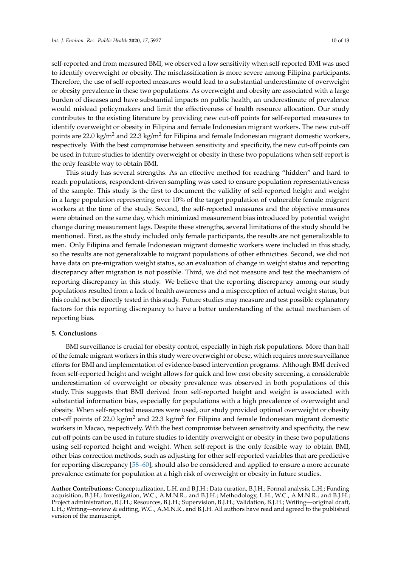self-reported and from measured BMI, we observed a low sensitivity when self-reported BMI was used to identify overweight or obesity. The misclassification is more severe among Filipina participants. Therefore, the use of self-reported measures would lead to a substantial underestimate of overweight or obesity prevalence in these two populations. As overweight and obesity are associated with a large burden of diseases and have substantial impacts on public health, an underestimate of prevalence would mislead policymakers and limit the effectiveness of health resource allocation. Our study contributes to the existing literature by providing new cut-off points for self-reported measures to identify overweight or obesity in Filipina and female Indonesian migrant workers. The new cut-off points are 22.0 kg/m<sup>2</sup> and 22.3 kg/m<sup>2</sup> for Filipina and female Indonesian migrant domestic workers, respectively. With the best compromise between sensitivity and specificity, the new cut-off points can be used in future studies to identify overweight or obesity in these two populations when self-report is the only feasible way to obtain BMI.

This study has several strengths. As an effective method for reaching "hidden" and hard to reach populations, respondent-driven sampling was used to ensure population representativeness of the sample. This study is the first to document the validity of self-reported height and weight in a large population representing over 10% of the target population of vulnerable female migrant workers at the time of the study. Second, the self-reported measures and the objective measures were obtained on the same day, which minimized measurement bias introduced by potential weight change during measurement lags. Despite these strengths, several limitations of the study should be mentioned. First, as the study included only female participants, the results are not generalizable to men. Only Filipina and female Indonesian migrant domestic workers were included in this study, so the results are not generalizable to migrant populations of other ethnicities. Second, we did not have data on pre-migration weight status, so an evaluation of change in weight status and reporting discrepancy after migration is not possible. Third, we did not measure and test the mechanism of reporting discrepancy in this study. We believe that the reporting discrepancy among our study populations resulted from a lack of health awareness and a misperception of actual weight status, but this could not be directly tested in this study. Future studies may measure and test possible explanatory factors for this reporting discrepancy to have a better understanding of the actual mechanism of reporting bias.

#### **5. Conclusions**

BMI surveillance is crucial for obesity control, especially in high risk populations. More than half of the female migrant workers in this study were overweight or obese, which requires more surveillance efforts for BMI and implementation of evidence-based intervention programs. Although BMI derived from self-reported height and weight allows for quick and low cost obesity screening, a considerable underestimation of overweight or obesity prevalence was observed in both populations of this study. This suggests that BMI derived from self-reported height and weight is associated with substantial information bias, especially for populations with a high prevalence of overweight and obesity. When self-reported measures were used, our study provided optimal overweight or obesity cut-off points of 22.0 kg/m<sup>2</sup> and 22.3 kg/m<sup>2</sup> for Filipina and female Indonesian migrant domestic workers in Macao, respectively. With the best compromise between sensitivity and specificity, the new cut-off points can be used in future studies to identify overweight or obesity in these two populations using self-reported height and weight. When self-report is the only feasible way to obtain BMI, other bias correction methods, such as adjusting for other self-reported variables that are predictive for reporting discrepancy [\[58](#page-12-14)[–60\]](#page-12-15), should also be considered and applied to ensure a more accurate prevalence estimate for population at a high risk of overweight or obesity in future studies.

**Author Contributions:** Conceptualization, L.H. and B.J.H.; Data curation, B.J.H.; Formal analysis, L.H.; Funding acquisition, B.J.H.; Investigation, W.C., A.M.N.R., and B.J.H.; Methodology, L.H., W.C., A.M.N.R., and B.J.H.; Project administration, B.J.H.; Resources, B.J.H.; Supervision, B.J.H.; Validation, B.J.H.; Writing—original draft, L.H.; Writing—review & editing, W.C., A.M.N.R., and B.J.H. All authors have read and agreed to the published version of the manuscript.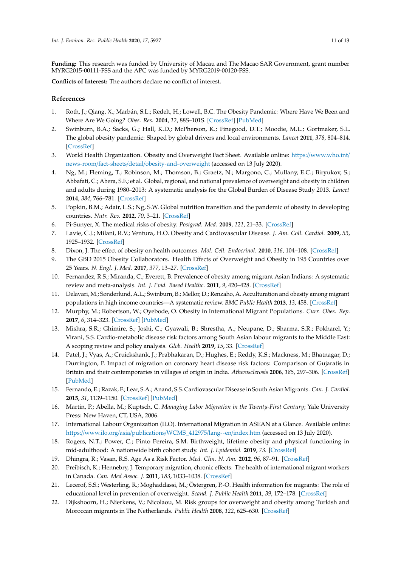**Funding:** This research was funded by University of Macau and The Macao SAR Government, grant number MYRG2015-00111-FSS and the APC was funded by MYRG2019-00120-FSS.

**Conflicts of Interest:** The authors declare no conflict of interest.

#### **References**

- <span id="page-10-0"></span>1. Roth, J.; Qiang, X.; Marbán, S.L.; Redelt, H.; Lowell, B.C. The Obesity Pandemic: Where Have We Been and Where Are We Going? *Obes. Res.* **2004**, *12*, 88S–101S. [\[CrossRef\]](http://dx.doi.org/10.1038/oby.2004.273) [\[PubMed\]](http://www.ncbi.nlm.nih.gov/pubmed/15601956)
- <span id="page-10-1"></span>2. Swinburn, B.A.; Sacks, G.; Hall, K.D.; McPherson, K.; Finegood, D.T.; Moodie, M.L.; Gortmaker, S.L. The global obesity pandemic: Shaped by global drivers and local environments. *Lancet* **2011**, *378*, 804–814. [\[CrossRef\]](http://dx.doi.org/10.1016/S0140-6736(11)60813-1)
- <span id="page-10-2"></span>3. World Health Organization. Obesity and Overweight Fact Sheet. Available online: https://[www.who.int](https://www.who.int/news-room/fact-sheets/detail/obesity-and-overweight)/ news-room/fact-sheets/detail/[obesity-and-overweight](https://www.who.int/news-room/fact-sheets/detail/obesity-and-overweight) (accessed on 13 July 2020).
- <span id="page-10-3"></span>4. Ng, M.; Fleming, T.; Robinson, M.; Thomson, B.; Graetz, N.; Margono, C.; Mullany, E.C.; Biryukov, S.; Abbafati, C.; Abera, S.F.; et al. Global, regional, and national prevalence of overweight and obesity in children and adults during 1980–2013: A systematic analysis for the Global Burden of Disease Study 2013. *Lancet* **2014**, *384*, 766–781. [\[CrossRef\]](http://dx.doi.org/10.1016/S0140-6736(14)60460-8)
- <span id="page-10-4"></span>5. Popkin, B.M.; Adair, L.S.; Ng, S.W. Global nutrition transition and the pandemic of obesity in developing countries. *Nutr. Rev.* **2012**, *70*, 3–21. [\[CrossRef\]](http://dx.doi.org/10.1111/j.1753-4887.2011.00456.x)
- <span id="page-10-5"></span>6. Pi-Sunyer, X. The medical risks of obesity. *Postgrad. Med.* **2009**, *121*, 21–33. [\[CrossRef\]](http://dx.doi.org/10.3810/pgm.2009.11.2074)
- 7. Lavie, C.J.; Milani, R.V.; Ventura, H.O. Obesity and Cardiovascular Disease. *J. Am. Coll. Cardiol.* **2009**, *53*, 1925–1932. [\[CrossRef\]](http://dx.doi.org/10.1016/j.jacc.2008.12.068)
- <span id="page-10-6"></span>8. Dixon, J. The effect of obesity on health outcomes. *Mol. Cell. Endocrinol.* **2010**, *316*, 104–108. [\[CrossRef\]](http://dx.doi.org/10.1016/j.mce.2009.07.008)
- <span id="page-10-7"></span>9. The GBD 2015 Obesity Collaborators. Health Effects of Overweight and Obesity in 195 Countries over 25 Years. *N. Engl. J. Med.* **2017**, *377*, 13–27. [\[CrossRef\]](http://dx.doi.org/10.1056/NEJMoa1614362)
- <span id="page-10-8"></span>10. Fernandez, R.S.; Miranda, C.; Everett, B. Prevalence of obesity among migrant Asian Indians: A systematic review and meta-analysis. *Int. J. Evid. Based Healthc.* **2011**, *9*, 420–428. [\[CrossRef\]](http://dx.doi.org/10.1111/j.1744-1609.2011.00243.x)
- 11. Delavari, M.; Sønderlund, A.L.; Swinburn, B.; Mellor, D.; Renzaho, A. Acculturation and obesity among migrant populations in high income countries—A systematic review. *BMC Public Health* **2013**, *13*, 458. [\[CrossRef\]](http://dx.doi.org/10.1186/1471-2458-13-458)
- 12. Murphy, M.; Robertson, W.; Oyebode, O. Obesity in International Migrant Populations. *Curr. Obes. Rep.* **2017**, *6*, 314–323. [\[CrossRef\]](http://dx.doi.org/10.1007/s13679-017-0274-7) [\[PubMed\]](http://www.ncbi.nlm.nih.gov/pubmed/28755178)
- <span id="page-10-9"></span>13. Mishra, S.R.; Ghimire, S.; Joshi, C.; Gyawali, B.; Shrestha, A.; Neupane, D.; Sharma, S.R.; Pokharel, Y.; Virani, S.S. Cardio-metabolic disease risk factors among South Asian labour migrants to the Middle East: A scoping review and policy analysis. *Glob. Health* **2019**, *15*, 33. [\[CrossRef\]](http://dx.doi.org/10.1186/s12992-019-0468-8)
- <span id="page-10-10"></span>14. Patel, J.; Vyas, A.; Cruickshank, J.; Prabhakaran, D.; Hughes, E.; Reddy, K.S.; Mackness, M.; Bhatnagar, D.; Durrington, P. Impact of migration on coronary heart disease risk factors: Comparison of Gujaratis in Britain and their contemporaries in villages of origin in India. *Atherosclerosis* **2006**, *185*, 297–306. [\[CrossRef\]](http://dx.doi.org/10.1016/j.atherosclerosis.2005.06.005) [\[PubMed\]](http://www.ncbi.nlm.nih.gov/pubmed/16005463)
- <span id="page-10-11"></span>15. Fernando, E.; Razak, F.; Lear, S.A.; Anand, S.S. Cardiovascular Disease in South Asian Migrants. *Can. J. Cardiol.* **2015**, *31*, 1139–1150. [\[CrossRef\]](http://dx.doi.org/10.1016/j.cjca.2015.06.008) [\[PubMed\]](http://www.ncbi.nlm.nih.gov/pubmed/26321436)
- <span id="page-10-12"></span>16. Martin, P.; Abella, M.; Kuptsch, C. *Managing Labor Migration in the Twenty-First Century*; Yale University Press: New Haven, CT, USA, 2006.
- <span id="page-10-13"></span>17. International Labour Organization (ILO). International Migration in ASEAN at a Glance. Available online: https://www.ilo.org/asia/publications/[WCMS\\_412975](https://www.ilo.org/asia/publications/WCMS_412975/lang--en/index.htm)/lang--en/index.htm (accessed on 13 July 2020).
- <span id="page-10-14"></span>18. Rogers, N.T.; Power, C.; Pinto Pereira, S.M. Birthweight, lifetime obesity and physical functioning in mid-adulthood: A nationwide birth cohort study. *Int. J. Epidemiol.* **2019**, *73*. [\[CrossRef\]](http://dx.doi.org/10.1136/jech-2019-SSMabstracts.200)
- <span id="page-10-15"></span>19. Dhingra, R.; Vasan, R.S. Age As a Risk Factor. *Med. Clin. N. Am.* **2012**, *96*, 87–91. [\[CrossRef\]](http://dx.doi.org/10.1016/j.mcna.2011.11.003)
- <span id="page-10-16"></span>20. Preibisch, K.; Hennebry, J. Temporary migration, chronic effects: The health of international migrant workers in Canada. *Can. Med Assoc. J.* **2011**, *183*, 1033–1038. [\[CrossRef\]](http://dx.doi.org/10.1503/cmaj.090736)
- <span id="page-10-17"></span>21. Lecerof, S.S.; Westerling, R.; Moghaddassi, M.; Östergren, P.-O. Health information for migrants: The role of educational level in prevention of overweight. *Scand. J. Public Health* **2011**, *39*, 172–178. [\[CrossRef\]](http://dx.doi.org/10.1177/1403494810395824)
- <span id="page-10-18"></span>22. Dijkshoorn, H.; Nierkens, V.; Nicolaou, M. Risk groups for overweight and obesity among Turkish and Moroccan migrants in The Netherlands. *Public Health* **2008**, *122*, 625–630. [\[CrossRef\]](http://dx.doi.org/10.1016/j.puhe.2007.08.016)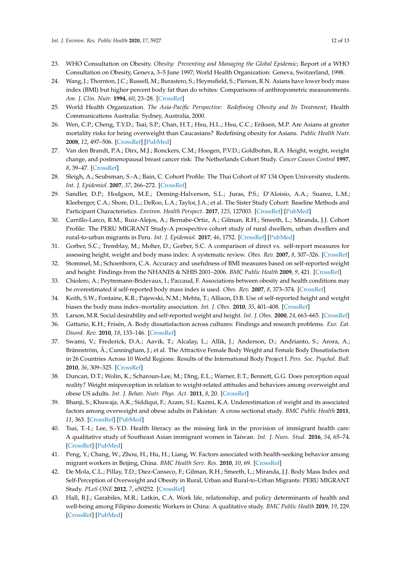- <span id="page-11-0"></span>23. WHO Consultation on Obesity. *Obesity: Preventing and Managing the Global Epidemic*; Report of a WHO Consultation on Obesity, Geneva, 3–5 June 1997; World Health Organization: Geneva, Switzerland, 1998.
- <span id="page-11-1"></span>24. Wang, J.; Thornton, J.C.; Russell, M.; Burastero, S.; Heymsfield, S.; Pierson, R.N. Asians have lower body mass index (BMI) but higher percent body fat than do whites: Comparisons of anthropometric measurements. *Am. J. Clin. Nutr.* **1994**, *60*, 23–28. [\[CrossRef\]](http://dx.doi.org/10.1093/ajcn/60.1.23)
- <span id="page-11-2"></span>25. World Health Organization. *The Asia-Pacific Perspective: Redefining Obesity and Its Treatment*; Health Communications Australia: Sydney, Australia, 2000.
- <span id="page-11-3"></span>26. Wen, C.P.; Cheng, T.Y.D.; Tsai, S.P.; Chan, H.T.; Hsu, H.L.; Hsu, C.C.; Eriksen, M.P. Are Asians at greater mortality risks for being overweight than Caucasians? Redefining obesity for Asians. *Public Health Nutr.* **2008**, *12*, 497–506. [\[CrossRef\]](http://dx.doi.org/10.1017/S1368980008002802) [\[PubMed\]](http://www.ncbi.nlm.nih.gov/pubmed/18547457)
- <span id="page-11-4"></span>27. Van den Brandt, P.A.; Dirx, M.J.; Ronckers, C.M.; Hoogen, P.V.D.; Goldbohm, R.A. Height, weight, weight change, and postmenopausal breast cancer risk: The Netherlands Cohort Study. *Cancer Causes Control* **1997**, *8*, 39–47. [\[CrossRef\]](http://dx.doi.org/10.1023/A:1018479020716)
- 28. Sleigh, A.; Seubsman, S.-A.; Bain, C. Cohort Profile: The Thai Cohort of 87 134 Open University students. *Int. J. Epidemiol.* **2007**, *37*, 266–272. [\[CrossRef\]](http://dx.doi.org/10.1093/ije/dym161)
- 29. Sandler, D.P.; Hodgson, M.E.; Deming-Halverson, S.L.; Juras, P.S.; D'Aloisio, A.A.; Suarez, L.M.; Kleeberger, C.A.; Shore, D.L.; DeRoo, L.A.; Taylor, J.A.; et al. The Sister Study Cohort: Baseline Methods and Participant Characteristics. *Environ. Health Perspect.* **2017**, *125*, 127003. [\[CrossRef\]](http://dx.doi.org/10.1289/EHP1923) [\[PubMed\]](http://www.ncbi.nlm.nih.gov/pubmed/29373861)
- <span id="page-11-5"></span>30. Carrillo-Larco, R.M.; Ruiz-Alejos, A.; Bernabe-Ortiz, A.; Gilman, R.H.; Smeeth, L.; Miranda, J.J. Cohort Profile: The PERU MIGRANT Study-A prospective cohort study of rural dwellers, urban dwellers and rural-to-urban migrants in Peru. *Int. J. Epidemiol.* **2017**, *46*, 1752. [\[CrossRef\]](http://dx.doi.org/10.1093/ije/dyx116) [\[PubMed\]](http://www.ncbi.nlm.nih.gov/pubmed/29040556)
- <span id="page-11-6"></span>31. Gorber, S.C.; Tremblay, M.; Moher, D.; Gorber, S.C. A comparison of direct vs. self-report measures for assessing height, weight and body mass index: A systematic review. *Obes. Rev.* **2007**, *8*, 307–326. [\[CrossRef\]](http://dx.doi.org/10.1111/j.1467-789X.2007.00347.x)
- <span id="page-11-7"></span>32. Stommel, M.; Schoenborn, C.A. Accuracy and usefulness of BMI measures based on self-reported weight and height: Findings from the NHANES & NHIS 2001–2006. *BMC Public Health* **2009**, *9*, 421. [\[CrossRef\]](http://dx.doi.org/10.1186/1471-2458-9-421)
- <span id="page-11-8"></span>33. Chiolero, A.; Peytremann-Bridevaux, I.; Paccaud, F. Associations between obesity and health conditions may be overestimated if self-reported body mass index is used. *Obes. Rev.* **2007**, *8*, 373–374. [\[CrossRef\]](http://dx.doi.org/10.1111/j.1467-789X.2007.00375.x)
- <span id="page-11-9"></span>34. Keith, S.W.; Fontaine, K.R.; Pajewski, N.M.; Mehta, T.; Allison, D.B. Use of self-reported height and weight biases the body mass index–mortality association. *Int. J. Obes.* **2010**, *35*, 401–408. [\[CrossRef\]](http://dx.doi.org/10.1038/ijo.2010.148)
- <span id="page-11-10"></span>35. Larson, M.R. Social desirability and self-reported weight and height. *Int. J. Obes.* **2000**, *24*, 663–665. [\[CrossRef\]](http://dx.doi.org/10.1038/sj.ijo.0801233)
- <span id="page-11-11"></span>36. Gattario, K.H.; Frisén, A. Body dissatisfaction across cultures: Findings and research problems. *Eur. Eat. Disord. Rev.* **2010**, *18*, 133–146. [\[CrossRef\]](http://dx.doi.org/10.1002/erv.965)
- <span id="page-11-12"></span>37. Swami, V.; Frederick, D.A.; Aavik, T.; Alcalay, L.; Allik, J.; Anderson, D.; Andrianto, S.; Arora, A.; Brännström, Å.; Cunningham, J.; et al. The Attractive Female Body Weight and Female Body Dissatisfaction in 26 Countries Across 10 World Regions: Results of the International Body Project I. *Pers. Soc. Psychol. Bull.* **2010**, *36*, 309–325. [\[CrossRef\]](http://dx.doi.org/10.1177/0146167209359702)
- <span id="page-11-13"></span>38. Duncan, D.T.; Wolin, K.; Scharoun-Lee, M.; Ding, E.L.; Warner, E.T.; Bennett, G.G. Does perception equal reality? Weight misperception in relation to weight-related attitudes and behaviors among overweight and obese US adults. *Int. J. Behav. Nutr. Phys. Act.* **2011**, *8*, 20. [\[CrossRef\]](http://dx.doi.org/10.1186/1479-5868-8-20)
- <span id="page-11-14"></span>39. Bhanji, S.; Khuwaja, A.K.; Siddiqui, F.; Azam, S.I.; Kazmi, K.A. Underestimation of weight and its associated factors among overweight and obese adults in Pakistan: A cross sectional study. *BMC Public Health* **2011**, *11*, 363. [\[CrossRef\]](http://dx.doi.org/10.1186/1471-2458-11-363) [\[PubMed\]](http://www.ncbi.nlm.nih.gov/pubmed/21605350)
- <span id="page-11-15"></span>40. Tsai, T.-I.; Lee, S.-Y.D. Health literacy as the missing link in the provision of immigrant health care: A qualitative study of Southeast Asian immigrant women in Taiwan. *Int. J. Nurs. Stud.* **2016**, *54*, 65–74. [\[CrossRef\]](http://dx.doi.org/10.1016/j.ijnurstu.2015.03.021) [\[PubMed\]](http://www.ncbi.nlm.nih.gov/pubmed/25865515)
- <span id="page-11-16"></span>41. Peng, Y.; Chang, W.; Zhou, H.; Hu, H.; Liang, W. Factors associated with health-seeking behavior among migrant workers in Beijing, China. *BMC Health Serv. Res.* **2010**, *10*, 69. [\[CrossRef\]](http://dx.doi.org/10.1186/1472-6963-10-69)
- <span id="page-11-17"></span>42. De Mola, C.L.; Pillay, T.D.; Diez-Canseco, F.; Gilman, R.H.; Smeeth, L.; Miranda, J.J. Body Mass Index and Self-Perception of Overweight and Obesity in Rural, Urban and Rural-to-Urban Migrants: PERU MIGRANT Study. *PLoS ONE* **2012**, *7*, e50252. [\[CrossRef\]](http://dx.doi.org/10.1371/journal.pone.0050252)
- <span id="page-11-18"></span>43. Hall, B.J.; Garabiles, M.R.; Latkin, C.A. Work life, relationship, and policy determinants of health and well-being among Filipino domestic Workers in China: A qualitative study. *BMC Public Health* **2019**, *19*, 229. [\[CrossRef\]](http://dx.doi.org/10.1186/s12889-019-6552-4) [\[PubMed\]](http://www.ncbi.nlm.nih.gov/pubmed/30797233)